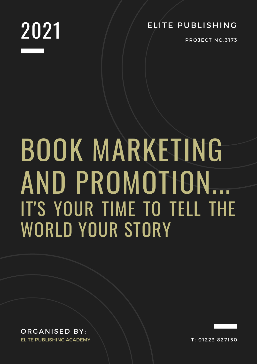

**PROJECT NO.3173** 

# BOOK MARKETING AND PROMOTION... IT'S YOUR TIME TO TELL THE WORLD YOUR STORY

ORGANISED BY: ELITE PUBLISHING ACADEMY

T: 01223 827150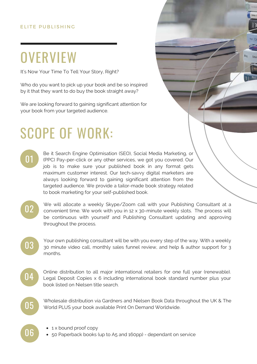### **OVERVIEW**

It's Now Your Time To Tell Your Story, Right?

Who do you want to pick up your book and be so inspired by it that they want to do buy the book straight away?

We are looking forward to gaining significant attention for your book from your targeted audience.

### SCOPE OF WORK:

01

Be it Search Engine Optimisation (SEO), Social Media Marketing, or (PPC) Pay-per-click or any other services, we got you covered. Our job is to make sure your published book in any format gets maximum customer interest. Our tech-savvy digital marketers are always looking forward to gaining significant attention from the targeted audience. We provide a tailor-made book strategy related to book marketing for your self-published book.

02

We will allocate a weekly Skype/Zoom call with your Publishing Consultant at a convenient time. We work with you in 12 x 30-minute weekly slots. The process will be continuous with yourself and Publishing Consultant updating and approving throughout the process.

03

Your own publishing consultant will be with you every step of the way. With a weekly 30 minute video call, monthly sales funnel review, and help & author support for 3 months.

04

Online distribution to all major international retailers for one full year (renewable). Legal Deposit Copies x 6 including international book standard number plus your book listed on Nielsen title search.



Wholesale distribution via Gardners and Nielsen Book Data throughout the UK & The World PLUS your book available Print On Demand Worldwide.

- 
- $\overline{06}$   $\cdot$  1 x bound proof copy<br>  $\cdot$  50 Paperback books (up to A5 and 160pp) dependant on service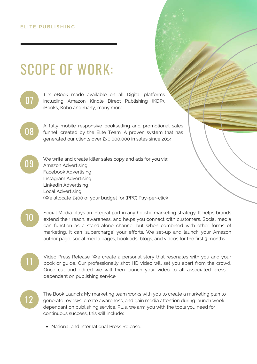### SCOPE OF WORK:



1 x eBook made available on all Digital platforms including Amazon Kindle Direct Publishing (KDP), iBooks, Kobo and many, many more.

08

09

A fully mobile responsive bookselling and promotional sales funnel, created by the Elite Team. A proven system that has generated our clients over £30,000,000 in sales since 2014.

We write and create killer sales copy and ads for you via; Amazon Advertising Facebook Advertising Instagram Advertising LinkedIn Advertising Local Advertising (We allocate £400 of your budget for (PPC) Pay-per-click

10

Social Media plays an integral part in any holistic marketing strategy. It helps brands extend their reach, awareness, and helps you connect with customers. Social media can function as a stand-alone channel but when combined with other forms of marketing, it can 'supercharge' your efforts. We set-up and launch your Amazon author page, social media pages, book ads, blogs, and videos for the first 3 months.

Video Press Release: We create a personal story that resonates with you and your book or guide. Our professionally shot HD video will set you apart from the crowd. Once cut and edited we will then launch your video to all associated press. dependant on publishing service.

12

11

The Book Launch: My marketing team works with you to create a marketing plan to generate reviews, create awareness, and gain media attention during launch week. dependant on publishing service. Plus, we arm you with the tools you need for continuous success, this will include:

National and International Press Release.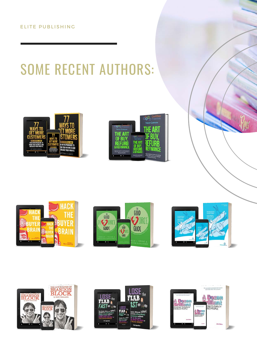## SOME RECENT AUTHORS:















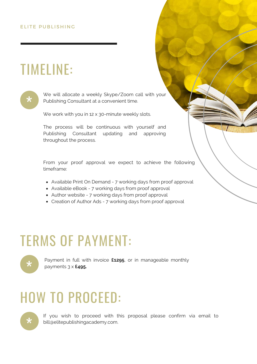### TIMELINE:



We will allocate a weekly Skype/Zoom call with your Publishing Consultant at a convenient time.

We work with you in 12 x 30-minute weekly slots.

The process will be continuous with yourself and Publishing Consultant updating and approving throughout the process.

From your proof approval we expect to achieve the following timeframe:

- Available Print On Demand 7 working days from proof approval
- Available eBook 7 working days from proof approval
- Author website 7 working days from proof approval
- Creation of Author Ads 7 working days from proof approval

### TERMS OF PAYMENT:



Payment in full with invoice **£1295**, or in manageable monthly payments 3 x **£495.**

### HOW TO PROCEED:

If you wish to proceed with this proposal please confirm via email to bill@elitepublishingacademy.com.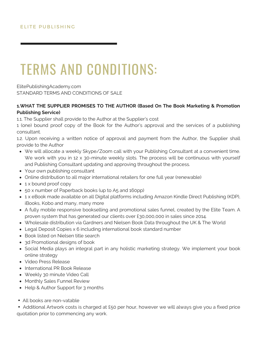ElitePublishingAcademy.com STANDARD TERMS AND CONDITIONS OF SALE

#### HAT<br>Iishi **1.WHAT THE SUPPLIER PROMISES TO THE AUTHOR (Based On The Book Marketing & Promotion Publishing Service)**

1.1. The Supplier shall provide to the Author at the Supplier's cost

1 (one) bound proof copy of the Book for the Author's approval and the services of a publishing consultant.

1.2. Upon receiving a written notice of approval and payment from the Author, the Supplier shall provide to the Author

- We will allocate a weekly Skype/Zoom call with your Publishing Consultant at a convenient time. We work with you in 12 x 30-minute weekly slots. The process will be continuous with yourself and Publishing Consultant updating and approving throughout the process.
- Your own publishing consultant
- Online distribution to all major international retailers for one full year (renewable)
- 1 x bound proof copy
- 50 x number of Paperback books (up to A5 and 160pp)
- 1 x eBook made available on all Digital platforms including Amazon Kindle Direct Publishing (KDP), iBooks, Kobo and many, many more
- A fully mobile responsive bookselling and promotional sales funnel, created by the Elite Team. A proven system that has generated our clients over £30,000,000 in sales since 2014.
- Wholesale distribution via Gardners and Nielsen Book Data throughout the UK & The World
- Legal Deposit Copies x 6 including international book standard number
- Book listed on Nielsen title search
- 3d Promotional designs of book
- Social Media plays an integral part in any holistic marketing strategy. We implement your book online strategy
- Video Press Release
- International PR Book Release
- Weekly 30 minute Video Call
- Monthly Sales Funnel Review
- Help & Author Support for 3 months
- All books are non-vatable

 Additional Artwork costs is charged at £50 per hour, however we will always give you a fixed price quotation prior to commencing any work.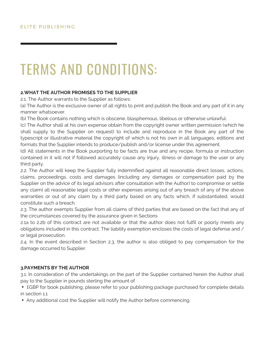#### **2.WHAT THE AUTHOR PROMISES TO THE SUPPLIER**

2.1. The Author warrants to the Supplier as follows:

Th<br>The<br>anne (a) The Author is the exclusive owner of all rights to print and publish the Book and any part of it in any manner whatsoever.

(b) The Book contains nothing which is obscene, blasphemous, libelous or otherwise unlawful.

(c) The Author shall at his own expense obtain from the copyright owner written permission (which he shall supply to the Supplier on request) to include and reproduce in the Book any part of the typescript or illustrative material the copyright of which is not his own in all languages, editions and formats that the Supplier intends to produce/publish and/or license under this agreement.

(d) All statements in the Book purporting to be facts are true and any recipe, formula or instruction contained in it will not if followed accurately cause any injury, illness or damage to the user or any third party.

2.2. The Author will keep the Supplier fully indemnified against all reasonable direct losses, actions, claims, proceedings, costs and damages (including any damages or compensation paid by the Supplier on the advice of its legal advisors after consultation with the Author) to compromise or settle any claim) all reasonable legal costs or other expenses arising out of any breach of any of the above warranties or out of any claim by a third party based on any facts which, if substantiated, would constitute such a breach.

2.3. The author exempts Supplier from all claims of third parties that are based on the fact that any of the circumstances covered by the assurance given in Sections

2.1a to 2.2b of this contract are not available or that the author does not fulfil or poorly meets any obligations included in this contract. The liability exemption encloses the costs of legal defense and / or legal prosecution.

2.4. In the event described in Section 2.3, the author is also obliged to pay compensation for the damage occurred to Supplier.

#### **3.PAYMENTS BY THE AUTHOR**

3.1. In consideration of the undertakings on the part of the Supplier contained herein the Author shall pay to the Supplier in pounds sterling the amount of ▪

**EGBP** for book publishing, please refer to your publishing package purchased for complete details in section 1.1 ▪

Any additional cost the Supplier will notify the Author before commencing.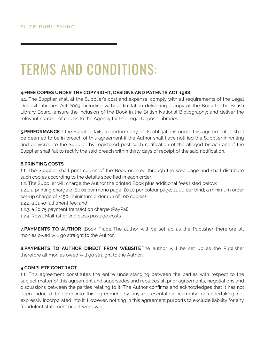#### **4.FREE COPIES UNDER THE COPYRIGHT, DESIGNS AND PATENTS ACT 1988**

.. Th<br>pos<br>pran 4.1. The Supplier shall at the Supplier's cost and expense; comply with all requirements of the Legal Deposit Libraries Act 2003 including without limitation delivering a copy of the Book to the British Library Board; ensure the inclusion of the Book in the British National Bibliography; and deliver the relevant number of copies to the Agency for the Legal Deposit Libraries.

**5.PERFORMANCE** If the Supplier fails to perform any of its obligations under this agreement, it shall be deemed to be in breach of this agreement if the Author shall have notified the Supplier in writing and delivered to the Supplier by registered post such notification of the alleged breach and if the Supplier shall fail to rectify the said breach within thirty days of receipt of the said notification.

#### **6.PRINTING COSTS**

1.1. The Supplier shall print copies of the Book ordered through the web page and shall distribute such copies according to the details specified in each order.

1.2. The Supplier will charge the Author the printed Book plus additional fees listed below:

1.2.1. a printing charge of £0.01 per mono page; £0.10 per colour page; £1.00 per bind; a minimum order set-up charge of £150. (minimum order run of 100 copies)

1.2.2. a £1.50 fulfilment fee; and

1.2.3. a £0.75 payment transaction charge (PayPal)

1.2.4. Royal Mail 1st or 2nd class postage costs

**7.PAYMENTS TO AUTHOR** (Book Trade)The author will be set up as the Publisher therefore all monies owed will go straight to the Author.

**8.PAYMENTS TO AUTHOR DIRECT FROM WEBSITE**The author will be set up as the Publisher therefore all monies owed will go straight to the Author.

#### **9.COMPLETE CONTRACT**

1.1. This agreement constitutes the entire understanding between the parties with respect to the subject matter of this agreement and supersedes and replaces all prior agreements, negotiations and discussions between the parties relating to it. The Author confirms and acknowledges that it has not been induced to enter into this agreement by any representation, warranty, or undertaking not expressly incorporated into it. However, nothing in this agreement purports to exclude liability for any fraudulent statement or act worldwide.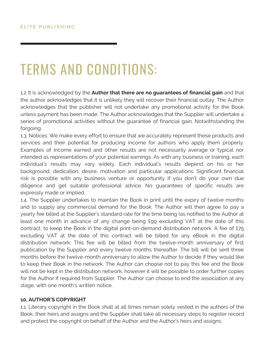the author acknowledges that it is unlikely they will recover their financial outlay. The Author<br>acknowledges that the publisher will not undertake any promotional activity for the Book 1.2. It is acknowledged by the **Author that there are no guarantees of financial gain** and that the author acknowledges that it is unlikely they will recover their financial outlay. The Author unless payment has been made. The Author acknowledges that the Supplier will undertake a series of promotional activities without the guarantee of financial gain. Notwithstanding the forgoing.

1.3. Notices: We make every effort to ensure that we accurately represent these products and services and their potential for producing income for authors who apply them properly. Examples of income earned and other results are not necessarily average or typical nor intended as representations of your potential earnings. As with any business or training, each individual's results may vary widely. Each individual's results depend on his or her background, dedication, desire, motivation and particular applications. Significant financial risk is possible with any business venture or opportunity if you don't do your own due diligence and get suitable professional advice. No guarantees of specific results are expressly made or implied.

1.4. The Supplier undertakes to maintain the Book in print until the expiry of twelve months and to supply any commercial demand for the Book. The Author will then agree to pay a yearly fee billed at the Supplier's standard rate for the time being (as notified to the Author at least one month in advance of any change being £99 excluding VAT at the date of this contract, to keep the Book in the digital print-on-demand distribution network. A fee of £75 excluding VAT at the date of this contract will be billed for any eBook in the digital distribution network. This fee will be billed from the twelve-month anniversary of first publication by the Supplier and every twelve months thereafter. The bill will be sent three months before the twelve-month anniversary to allow the Author to decide if they would like to keep their Book in the network. The Author can choose not to pay this fee and the Book will not be kept in the distribution network, however it will be possible to order further copies for the Author if required from Supplier. The Author can choose to end the association at any stage, with one month's written notice.

#### **10. AUTHOR'S COPYRIGHT**

1.1. Literary copyright in the Book shall at all times remain solely vested in the authors of the Book, their heirs and assigns and the Supplier shall take all necessary steps to register record and protect the copyright on behalf of the Author and the Author's heirs and assigns.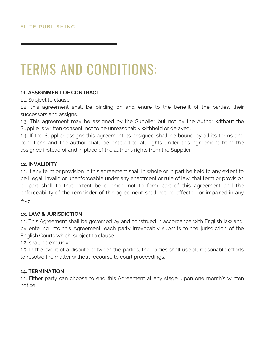#### **11. ASSIGNMENT OF CONTRACT**

1.1. Subject to clause

1.1. Subject to clause<br>1.2, this agreement shall be binding on and enure to the benefit of the parties, their successors and assigns.

1.3. This agreement may be assigned by the Supplier but not by the Author without the Supplier's written consent, not to be unreasonably withheld or delayed.

1.4. If the Supplier assigns this agreement its assignee shall be bound by all its terms and conditions and the author shall be entitled to all rights under this agreement from the assignee instead of and in place of the author's rights from the Supplier.

#### **12. INVALIDITY**

1.1. If any term or provision in this agreement shall in whole or in part be held to any extent to be illegal, invalid or unenforceable under any enactment or rule of law, that term or provision or part shall to that extent be deemed not to form part of this agreement and the enforceability of the remainder of this agreement shall not be affected or impaired in any way.

#### **13. LAW & JURISDICTION**

1.1. This Agreement shall be governed by and construed in accordance with English law and, by entering into this Agreement, each party irrevocably submits to the jurisdiction of the English Courts which, subject to clause

1.2, shall be exclusive.

1.3. In the event of a dispute between the parties, the parties shall use all reasonable efforts to resolve the matter without recourse to court proceedings.

#### **14. TERMINATION**

1.1. Either party can choose to end this Agreement at any stage, upon one month's written notice.